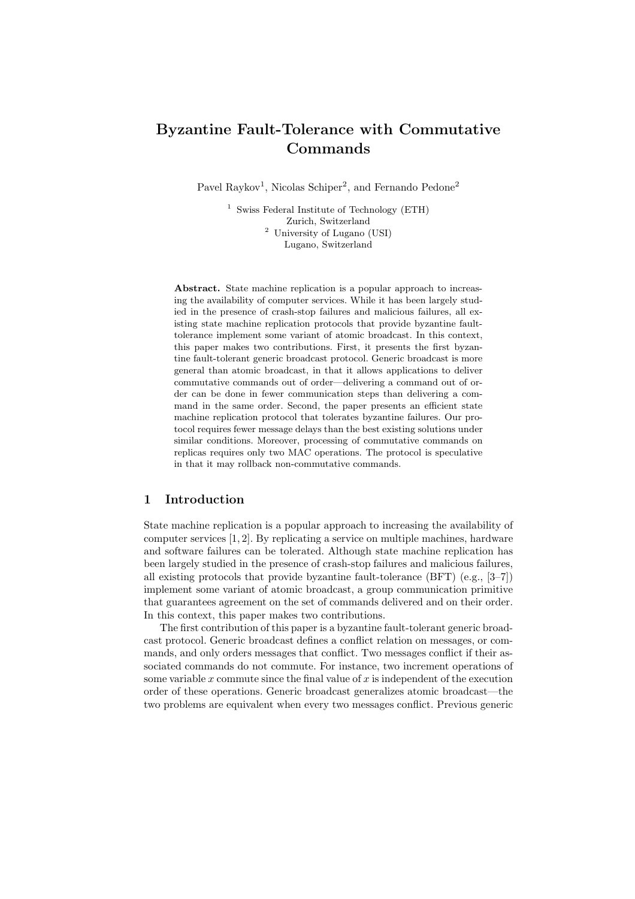# Byzantine Fault-Tolerance with Commutative Commands

Pavel Raykov<sup>1</sup>, Nicolas Schiper<sup>2</sup>, and Fernando Pedone<sup>2</sup>

1 Swiss Federal Institute of Technology (ETH) Zurich, Switzerland <sup>2</sup> University of Lugano (USI) Lugano, Switzerland

Abstract. State machine replication is a popular approach to increasing the availability of computer services. While it has been largely studied in the presence of crash-stop failures and malicious failures, all existing state machine replication protocols that provide byzantine faulttolerance implement some variant of atomic broadcast. In this context, this paper makes two contributions. First, it presents the first byzantine fault-tolerant generic broadcast protocol. Generic broadcast is more general than atomic broadcast, in that it allows applications to deliver commutative commands out of order—delivering a command out of order can be done in fewer communication steps than delivering a command in the same order. Second, the paper presents an efficient state machine replication protocol that tolerates byzantine failures. Our protocol requires fewer message delays than the best existing solutions under similar conditions. Moreover, processing of commutative commands on replicas requires only two MAC operations. The protocol is speculative in that it may rollback non-commutative commands.

## 1 Introduction

State machine replication is a popular approach to increasing the availability of computer services [1, 2]. By replicating a service on multiple machines, hardware and software failures can be tolerated. Although state machine replication has been largely studied in the presence of crash-stop failures and malicious failures, all existing protocols that provide byzantine fault-tolerance (BFT) (e.g., [3–7]) implement some variant of atomic broadcast, a group communication primitive that guarantees agreement on the set of commands delivered and on their order. In this context, this paper makes two contributions.

The first contribution of this paper is a byzantine fault-tolerant generic broadcast protocol. Generic broadcast defines a conflict relation on messages, or commands, and only orders messages that conflict. Two messages conflict if their associated commands do not commute. For instance, two increment operations of some variable x commute since the final value of x is independent of the execution order of these operations. Generic broadcast generalizes atomic broadcast—the two problems are equivalent when every two messages conflict. Previous generic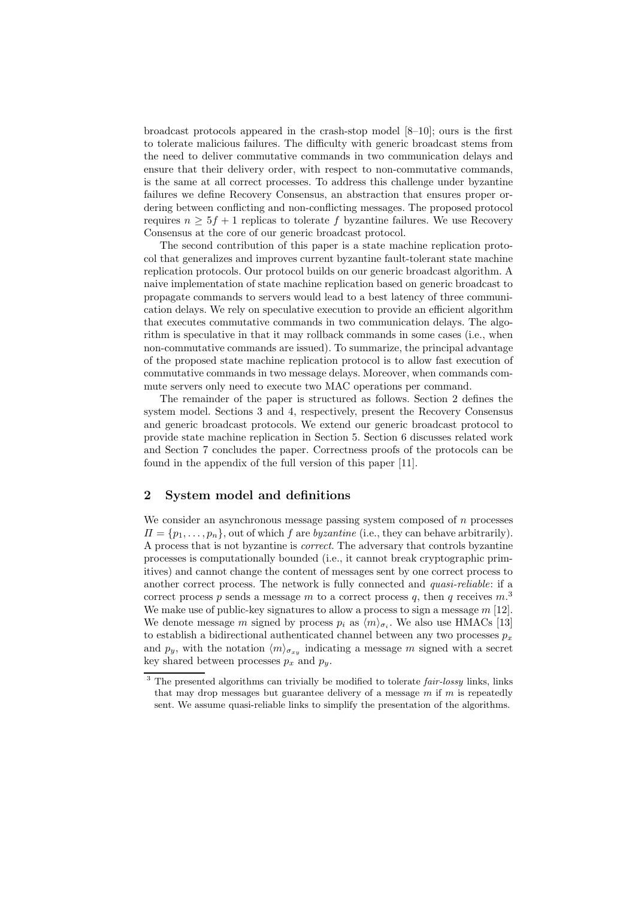broadcast protocols appeared in the crash-stop model [8–10]; ours is the first to tolerate malicious failures. The difficulty with generic broadcast stems from the need to deliver commutative commands in two communication delays and ensure that their delivery order, with respect to non-commutative commands, is the same at all correct processes. To address this challenge under byzantine failures we define Recovery Consensus, an abstraction that ensures proper ordering between conflicting and non-conflicting messages. The proposed protocol requires  $n \geq 5f + 1$  replicas to tolerate f byzantine failures. We use Recovery Consensus at the core of our generic broadcast protocol.

The second contribution of this paper is a state machine replication protocol that generalizes and improves current byzantine fault-tolerant state machine replication protocols. Our protocol builds on our generic broadcast algorithm. A naive implementation of state machine replication based on generic broadcast to propagate commands to servers would lead to a best latency of three communication delays. We rely on speculative execution to provide an efficient algorithm that executes commutative commands in two communication delays. The algorithm is speculative in that it may rollback commands in some cases (i.e., when non-commutative commands are issued). To summarize, the principal advantage of the proposed state machine replication protocol is to allow fast execution of commutative commands in two message delays. Moreover, when commands commute servers only need to execute two MAC operations per command.

The remainder of the paper is structured as follows. Section 2 defines the system model. Sections 3 and 4, respectively, present the Recovery Consensus and generic broadcast protocols. We extend our generic broadcast protocol to provide state machine replication in Section 5. Section 6 discusses related work and Section 7 concludes the paper. Correctness proofs of the protocols can be found in the appendix of the full version of this paper [11].

# 2 System model and definitions

We consider an asynchronous message passing system composed of  $n$  processes  $\Pi = \{p_1, \ldots, p_n\}$ , out of which f are byzantine (i.e., they can behave arbitrarily). A process that is not byzantine is correct. The adversary that controls byzantine processes is computationally bounded (i.e., it cannot break cryptographic primitives) and cannot change the content of messages sent by one correct process to another correct process. The network is fully connected and quasi-reliable: if a correct process p sends a message m to a correct process q, then q receives  $m^3$ We make use of public-key signatures to allow a process to sign a message  $m$  [12]. We denote message m signed by process  $p_i$  as  $\langle m \rangle_{\sigma_i}$ . We also use HMACs [13] to establish a bidirectional authenticated channel between any two processes  $p_x$ and  $p_y$ , with the notation  $\langle m \rangle_{\sigma_{xy}}$  indicating a message m signed with a secret key shared between processes  $p_x$  and  $p_y$ .

 $3$  The presented algorithms can trivially be modified to tolerate  $fair-lossy$  links, links that may drop messages but guarantee delivery of a message  $m$  if  $m$  is repeatedly sent. We assume quasi-reliable links to simplify the presentation of the algorithms.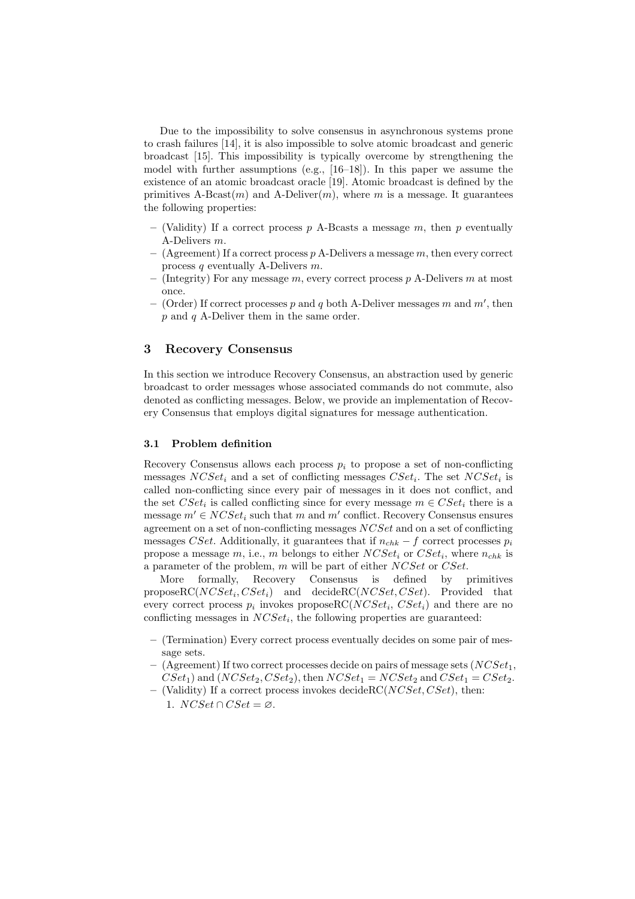Due to the impossibility to solve consensus in asynchronous systems prone to crash failures [14], it is also impossible to solve atomic broadcast and generic broadcast [15]. This impossibility is typically overcome by strengthening the model with further assumptions (e.g., [16–18]). In this paper we assume the existence of an atomic broadcast oracle [19]. Atomic broadcast is defined by the primitives A-Bcast $(m)$  and A-Deliver $(m)$ , where m is a message. It guarantees the following properties:

- (Validity) If a correct process  $p$  A-Bcasts a message  $m$ , then  $p$  eventually A-Delivers m.
- (Agreement) If a correct process  $p$  A-Delivers a message m, then every correct process q eventually A-Delivers m.
- (Integrity) For any message m, every correct process p A-Delivers m at most once.
- (Order) If correct processes p and q both A-Deliver messages m and  $m'$ , then p and q A-Deliver them in the same order.

# 3 Recovery Consensus

In this section we introduce Recovery Consensus, an abstraction used by generic broadcast to order messages whose associated commands do not commute, also denoted as conflicting messages. Below, we provide an implementation of Recovery Consensus that employs digital signatures for message authentication.

#### 3.1 Problem definition

Recovery Consensus allows each process  $p_i$  to propose a set of non-conflicting messages  $NCSet_i$  and a set of conflicting messages  $CSet_i$ . The set  $NCSet_i$  is called non-conflicting since every pair of messages in it does not conflict, and the set  $CSet_i$  is called conflicting since for every message  $m \in CSet_i$  there is a message  $m' \in NCSet_i$  such that m and m' conflict. Recovery Consensus ensures agreement on a set of non-conflicting messages NCSet and on a set of conflicting messages CSet. Additionally, it guarantees that if  $n_{chk} - f$  correct processes  $p_i$ propose a message  $m$ , i.e.,  $m$  belongs to either  $NCSet_i$  or  $CSet_i$ , where  $n_{chk}$  is a parameter of the problem, m will be part of either NCSet or CSet.

More formally, Recovery Consensus is defined by primitives  $proposeRC(NCSet_i, CSet_i)$  and  $decideRC(NCSet, CSet)$ . Provided that every correct process  $p_i$  invokes propose RC( $NCSet_i$ ,  $CSet_i$ ) and there are no conflicting messages in  $NCSet_i$ , the following properties are guaranteed:

- (Termination) Every correct process eventually decides on some pair of message sets.
- (Agreement) If two correct processes decide on pairs of message sets  $(NCSet_1,$  $CSet_1$ ) and  $(NCSet_2, CSet_2)$ , then  $NCSet_1 = NCSet_2$  and  $CSet_1 = CSet_2$ .
- (Validity) If a correct process invokes decideRC( $NCSet, CSet$ ), then: 1.  $NCSet \cap CSet = \varnothing$ .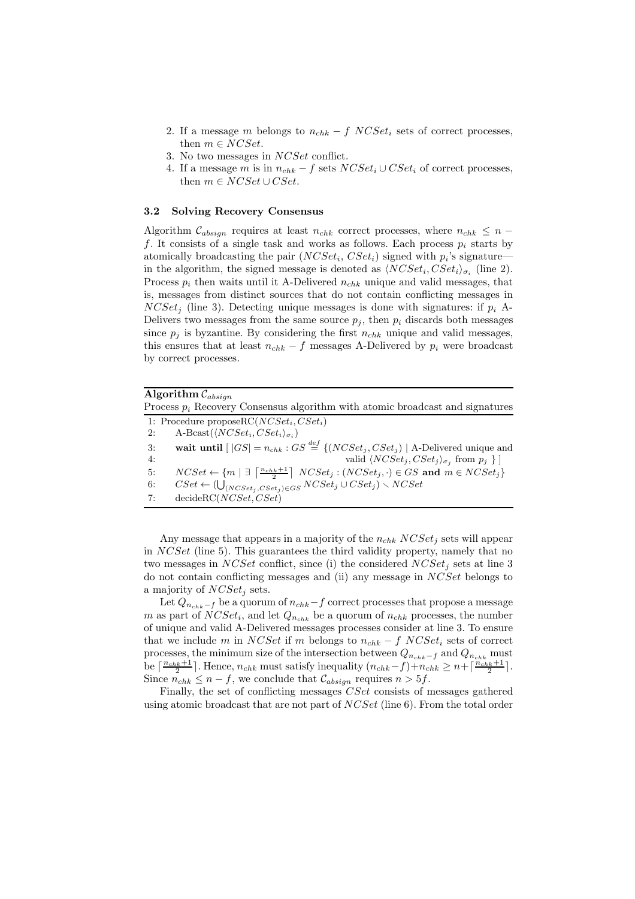- 2. If a message m belongs to  $n_{chk} f$  NCSet<sub>i</sub> sets of correct processes, then  $m \in NCSet$ .
- 3. No two messages in NCSet conflict.
- 4. If a message m is in  $n_{chk} f$  sets  $NCSet_i \cup CSet_i$  of correct processes, then  $m \in NCSet \cup CSet$ .

#### 3.2 Solving Recovery Consensus

Algorithm  $\mathcal{C}_{absign}$  requires at least  $n_{chk}$  correct processes, where  $n_{chk} \leq n$ f. It consists of a single task and works as follows. Each process  $p_i$  starts by atomically broadcasting the pair  $(NCSet_i, CSet_i)$  signed with  $p_i$ 's signature in the algorithm, the signed message is denoted as  $\langle NCSet_i, CSet_i \rangle_{\sigma_i}$  (line 2). Process  $p_i$  then waits until it A-Delivered  $n_{chk}$  unique and valid messages, that is, messages from distinct sources that do not contain conflicting messages in  $NCSet_i$  (line 3). Detecting unique messages is done with signatures: if  $p_i$  A-Delivers two messages from the same source  $p_i$ , then  $p_i$  discards both messages since  $p_i$  is byzantine. By considering the first  $n_{chk}$  unique and valid messages, this ensures that at least  $n_{chk} - f$  messages A-Delivered by  $p_i$  were broadcast by correct processes.

Algorithm  $C_{absian}$ Process  $p_i$  Recovery Consensus algorithm with atomic broadcast and signatures 1: Procedure proposeRC $(NCSet_i, CSet_i)$ 2: A-Bcast $(\langle NCSet_i, CSet_i \rangle_{\sigma_i})$ 3: wait until  $[|GS| = n_{chk} : GS \stackrel{def}{=} \{(NCSet_j, CSet_j) | A-Delivered unique and$ 4: valid  $\langle NCSet_j, CSet_j \rangle_{\sigma_j}$  from  $p_j$  } ] 5:  $NCSet \leftarrow \{m \mid \exists \begin{bmatrix} \frac{n_{chk}+1}{2} \end{bmatrix} NCSet_j : (NCSet_j, \cdot) \in GS \text{ and } m \in NCSet_j \}$ 6:  $CSet \leftarrow (\bigcup_{(NCSet_j, CSet_j) \in GS} NCSet_j \cup CSet_j) \setminus NCSet$ 7: decideRC $(NCSet, CSet)$ 

Any message that appears in a majority of the  $n_{chk} NCSet_i$  sets will appear in NCSet (line 5). This guarantees the third validity property, namely that no two messages in NCSet conflict, since (i) the considered  $NCSet_j$  sets at line 3 do not contain conflicting messages and (ii) any message in NCSet belongs to a majority of  $NCSet_i$  sets.

Let  $Q_{n_{chk}-f}$  be a quorum of  $n_{chk}-f$  correct processes that propose a message m as part of  $NCSet_i$ , and let  $Q_{n_{chk}}$  be a quorum of  $n_{chk}$  processes, the number of unique and valid A-Delivered messages processes consider at line 3. To ensure that we include m in  $NCSet$  if m belongs to  $n_{chk} - f NCSet_i$  sets of correct processes, the minimum size of the intersection between  $Q_{n_{chk}-f}$  and  $Q_{n_{chk}}$  must be  $\lceil \frac{n_{chk}+1}{2} \rceil$ . Hence,  $n_{chk}$  must satisfy inequality  $(n_{chk}-f) + n_{chk} \ge n + \lceil \frac{n_{chk}+1}{2} \rceil$ . Since  $n_{chk} \leq n - f$ , we conclude that  $\mathcal{C}_{absign}$  requires  $n > 5f$ .

Finally, the set of conflicting messages CSet consists of messages gathered using atomic broadcast that are not part of  $NCSet$  (line 6). From the total order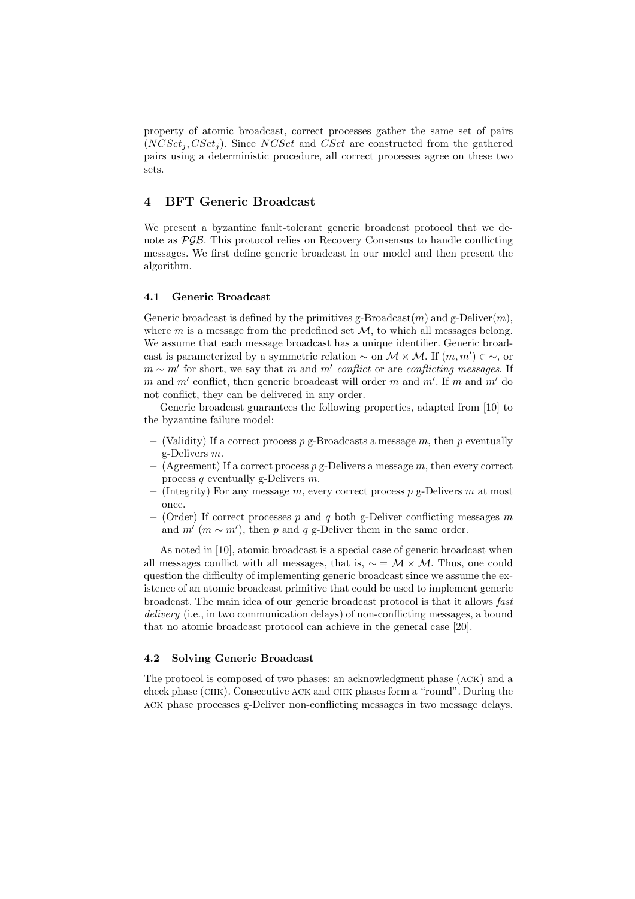property of atomic broadcast, correct processes gather the same set of pairs  $(NCSet<sub>i</sub>, CSet<sub>i</sub>)$ . Since  $NCSet$  and  $CSet$  are constructed from the gathered pairs using a deterministic procedure, all correct processes agree on these two sets.

## 4 BFT Generic Broadcast

We present a byzantine fault-tolerant generic broadcast protocol that we denote as PGB. This protocol relies on Recovery Consensus to handle conflicting messages. We first define generic broadcast in our model and then present the algorithm.

## 4.1 Generic Broadcast

Generic broadcast is defined by the primitives g-Broadcast $(m)$  and g-Deliver $(m)$ , where  $m$  is a message from the predefined set  $M$ , to which all messages belong. We assume that each message broadcast has a unique identifier. Generic broadcast is parameterized by a symmetric relation  $\sim$  on  $\mathcal{M} \times \mathcal{M}$ . If  $(m, m') \in \sim$ , or  $m \sim m'$  for short, we say that m and m' conflict or are conflicting messages. If m and m' conflict, then generic broadcast will order m and m'. If m and m' do not conflict, they can be delivered in any order.

Generic broadcast guarantees the following properties, adapted from [10] to the byzantine failure model:

- (Validity) If a correct process p g-Broadcasts a message m, then p eventually g-Delivers m.
- (Agreement) If a correct process  $p$  g-Delivers a message  $m$ , then every correct process q eventually g-Delivers m.
- (Integrity) For any message m, every correct process  $p$  g-Delivers m at most once.
- (Order) If correct processes p and q both g-Deliver conflicting messages m and  $m'(m \sim m')$ , then p and q g-Deliver them in the same order.

As noted in [10], atomic broadcast is a special case of generic broadcast when all messages conflict with all messages, that is,  $\sim = \mathcal{M} \times \mathcal{M}$ . Thus, one could question the difficulty of implementing generic broadcast since we assume the existence of an atomic broadcast primitive that could be used to implement generic broadcast. The main idea of our generic broadcast protocol is that it allows fast delivery (i.e., in two communication delays) of non-conflicting messages, a bound that no atomic broadcast protocol can achieve in the general case [20].

## 4.2 Solving Generic Broadcast

The protocol is composed of two phases: an acknowledgment phase (ack) and a check phase (chk). Consecutive ack and chk phases form a "round". During the ack phase processes g-Deliver non-conflicting messages in two message delays.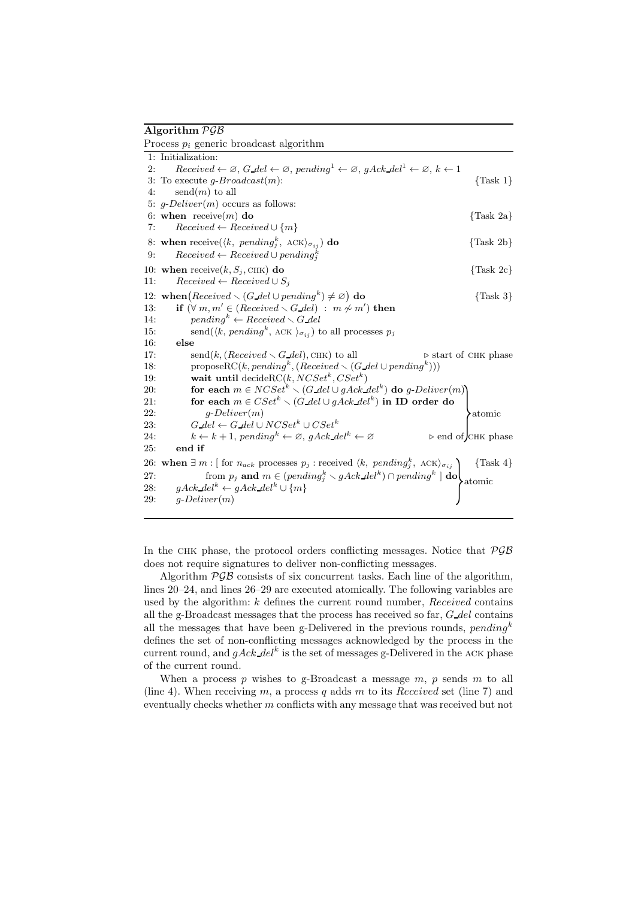Process  $p_i$  generic broadcast algorithm 1: Initialization: 2: Received  $\leftarrow \emptyset$ , G del  $\leftarrow \emptyset$ , pending<sup>1</sup>  $\leftarrow \emptyset$ , g Ack del<sup>1</sup>  $\leftarrow \emptyset$ , k  $\leftarrow$  1 3: To execute  $q$ -Broadcast $(m)$ : {Task 1} 4:  $\operatorname{send}(m)$  to all 5:  $g\text{-}Deliver(m)$  occurs as follows: 6: when  $\text{receive}(m)$  do  $\{\text{Task 2a}\}\$ 7:  $Received \leftarrow Received \cup \{m\}$ 8: when receive( $\langle k, \text{ pending}_j^k, \text{ ACK} \rangle_{\sigma_{ij}}$ ) do {Task 2b} 9: Received ← Received  $\cup$  pending $^k_j$ 10: when  $\text{receive}(k, S_i, \text{CHK})$  do {Task 2c} 11: Received ← Received  $\cup S_i$ 12: when  $(Received \setminus (G \text{ del } \cup pending^k) \neq \emptyset)$  ${Task 3}$ 13: if  $(\forall m, m' \in (Received \setminus G\_del) : m \not\sim m')$  then 14: pending<sup>k</sup> ← Received  $\setminus G$  del 15: send $(\langle k, pending^k, ACK \rangle_{\sigma_{ij}})$  to all processes  $p_j$ 16: else 17: send(k, (Received  $\setminus G$  del), CHK) to all ⊳ start of CHK phase 18: proposeRC(k, pending<sup>k</sup>, (Received \ (G del ∪ pending<sup>k</sup>))) 19: wait until decide  $RC(k, NCSet^k, CSet^k)$ 20: for each  $m \in NCSet^k \setminus (G \ del \cup gack \ del^k)$  do g-Deliver(m) 21: for each  $m \in CSet^k \setminus (G$  del ∪ gAck del<sup>k</sup>) in ID order do 22:  $g\text{-}De liver(m)$ 23:  $G \text{del} \leftarrow G \text{del} \cup NCSet^k \cup CSet^k$ 24:  $k \leftarrow k+1$ , pending<sup>k</sup>  $\leftarrow \emptyset$ , gAck del<sup>k</sup>  $\leftarrow \emptyset$   $\triangleright$  end of CHK phase 25: end if 26: when  $\exists m : [$  for  $n_{ack}$  processes  $p_j$ : received  $\langle k,$  pending<sup>k</sup>, ACK $\rangle_{\sigma_{ij}}$   $\qquad$  {Task 4} 27: from  $p_j$  and  $m \in (pending_j^k \setminus gAct, del^k) \cap pending^k \mid \textbf{do}$  atomic 28:  $qAck \text{del}^k \leftarrow qAck \text{del}^k \cup \{m\}$ 29:  $q\text{-}De liver(m)$ atomic

Algorithm PGB

In the CHK phase, the protocol orders conflicting messages. Notice that  $\mathcal{PGB}$ does not require signatures to deliver non-conflicting messages.

Algorithm  $\mathcal{PGB}$  consists of six concurrent tasks. Each line of the algorithm, lines 20–24, and lines 26–29 are executed atomically. The following variables are used by the algorithm:  $k$  defines the current round number,  $Received$  contains all the g-Broadcast messages that the process has received so far,  $G$ -del contains all the messages that have been g-Delivered in the previous rounds,  $pending^k$ defines the set of non-conflicting messages acknowledged by the process in the current round, and  $gAck\_del^k$  is the set of messages g-Delivered in the ACK phase of the current round.

When a process p wishes to g-Broadcast a message  $m$ , p sends  $m$  to all (line 4). When receiving m, a process q adds m to its Received set (line 7) and eventually checks whether m conflicts with any message that was received but not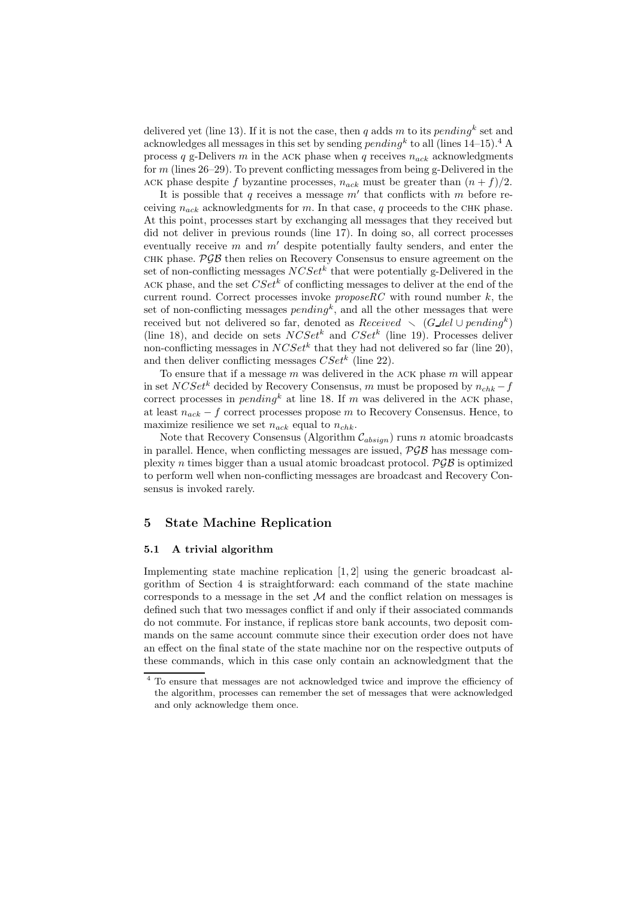delivered yet (line 13). If it is not the case, then q adds m to its pending<sup>k</sup> set and acknowledges all messages in this set by sending  $pending^k$  to all (lines 14–15).<sup>4</sup> A process q g-Delivers m in the ACK phase when q receives  $n_{ack}$  acknowledgments for  $m$  (lines 26–29). To prevent conflicting messages from being g-Delivered in the ACK phase despite f byzantine processes,  $n_{ack}$  must be greater than  $(n + f)/2$ .

It is possible that q receives a message  $m'$  that conflicts with m before receiving  $n_{ack}$  acknowledgments for m. In that case, q proceeds to the CHK phase. At this point, processes start by exchanging all messages that they received but did not deliver in previous rounds (line 17). In doing so, all correct processes eventually receive  $m$  and  $m'$  despite potentially faulty senders, and enter the CHK phase.  $\mathcal{PGB}$  then relies on Recovery Consensus to ensure agreement on the set of non-conflicting messages  $NCSet^k$  that were potentially g-Delivered in the ACK phase, and the set  $CSet^k$  of conflicting messages to deliver at the end of the current round. Correct processes invoke *proposeRC* with round number  $k$ , the set of non-conflicting messages  $pending^k$ , and all the other messages that were received but not delivered so far, denoted as  $Received \setminus (G\_{del} \cup pending^k)$ (line 18), and decide on sets  $NCSet^k$  and  $CSet^k$  (line 19). Processes deliver non-conflicting messages in  $NCSet^k$  that they had not delivered so far (line 20), and then deliver conflicting messages  $CSet<sup>k</sup>$  (line 22).

To ensure that if a message  $m$  was delivered in the ACK phase  $m$  will appear in set  $NCSet^k$  decided by Recovery Consensus, m must be proposed by  $n_{chk} - f$ correct processes in *pending*<sup>k</sup> at line 18. If m was delivered in the ACK phase, at least  $n_{ack} - f$  correct processes propose m to Recovery Consensus. Hence, to maximize resilience we set  $n_{ack}$  equal to  $n_{chk}$ .

Note that Recovery Consensus (Algorithm  $C_{absign}$ ) runs n atomic broadcasts in parallel. Hence, when conflicting messages are issued,  $PGB$  has message complexity n times bigger than a usual atomic broadcast protocol.  $\mathcal{PGB}$  is optimized to perform well when non-conflicting messages are broadcast and Recovery Consensus is invoked rarely.

# 5 State Machine Replication

#### 5.1 A trivial algorithm

Implementing state machine replication [1, 2] using the generic broadcast algorithm of Section 4 is straightforward: each command of the state machine corresponds to a message in the set  $M$  and the conflict relation on messages is defined such that two messages conflict if and only if their associated commands do not commute. For instance, if replicas store bank accounts, two deposit commands on the same account commute since their execution order does not have an effect on the final state of the state machine nor on the respective outputs of these commands, which in this case only contain an acknowledgment that the

<sup>4</sup> To ensure that messages are not acknowledged twice and improve the efficiency of the algorithm, processes can remember the set of messages that were acknowledged and only acknowledge them once.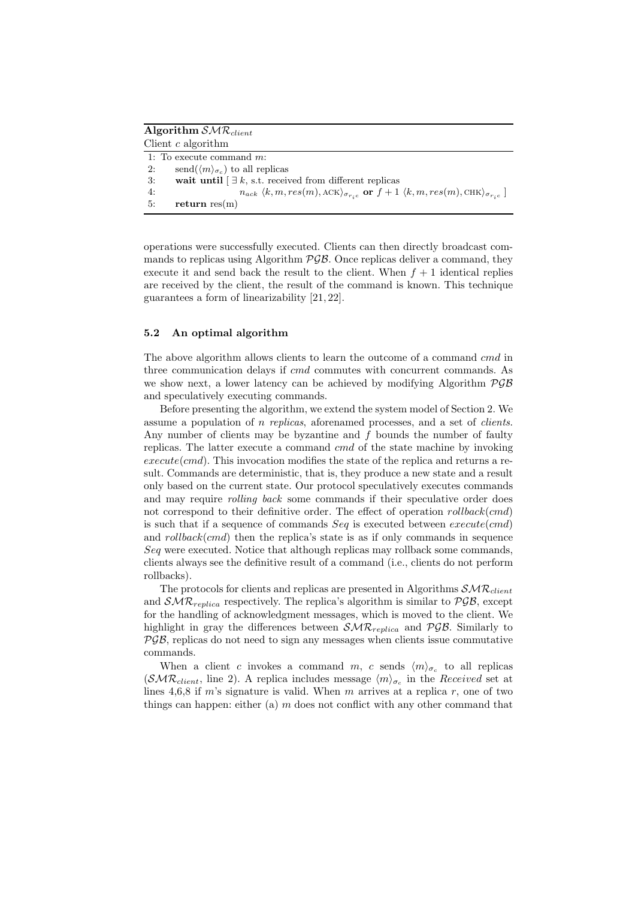Algorithm  $\mathcal{SMR}_{client}$ 

|    | Client $c$ algorithm                                                                                           |
|----|----------------------------------------------------------------------------------------------------------------|
|    | 1: To execute command $m$ :                                                                                    |
| 2: | $\operatorname{send}(\langle m \rangle_{\sigma_c})$ to all replicas                                            |
| 3: | <b>wait until</b> $\exists k$ , s.t. received from different replicas                                          |
| 4: | $n_{ack} \langle k,m,res(m),ACK \rangle_{\sigma_{r,c}}$ or $f+1 \langle k,m,res(m),CHK \rangle_{\sigma_{r,c}}$ |
| 5: | return $res(m)$                                                                                                |

operations were successfully executed. Clients can then directly broadcast commands to replicas using Algorithm  $\mathcal{PGB}$ . Once replicas deliver a command, they execute it and send back the result to the client. When  $f + 1$  identical replies are received by the client, the result of the command is known. This technique guarantees a form of linearizability [21, 22].

#### 5.2 An optimal algorithm

The above algorithm allows clients to learn the outcome of a command cmd in three communication delays if cmd commutes with concurrent commands. As we show next, a lower latency can be achieved by modifying Algorithm  $\mathcal{PGB}$ and speculatively executing commands.

Before presenting the algorithm, we extend the system model of Section 2. We assume a population of *n replicas*, aforenamed processes, and a set of *clients*. Any number of clients may be byzantine and  $f$  bounds the number of faulty replicas. The latter execute a command *cmd* of the state machine by invoking  $execute(cmd)$ . This invocation modifies the state of the replica and returns a result. Commands are deterministic, that is, they produce a new state and a result only based on the current state. Our protocol speculatively executes commands and may require *rolling back* some commands if their speculative order does not correspond to their definitive order. The effect of operation  $rollback(cmd)$ is such that if a sequence of commands  $Seq$  is executed between  $execute(cmd)$ and  $\textit{rollback}(cmd)$  then the replica's state is as if only commands in sequence Seq were executed. Notice that although replicas may rollback some commands, clients always see the definitive result of a command (i.e., clients do not perform rollbacks).

The protocols for clients and replicas are presented in Algorithms  $\mathcal{SMR}_{client}$ and  $\mathcal{SMR}_{reulica}$  respectively. The replica's algorithm is similar to  $\mathcal{PGB}$ , except for the handling of acknowledgment messages, which is moved to the client. We highlight in gray the differences between  $\mathcal{SMR}_{replica}$  and  $\mathcal{PGB}$ . Similarly to  $PGB$ , replicas do not need to sign any messages when clients issue commutative commands.

When a client c invokes a command m, c sends  $\langle m \rangle_{\sigma_c}$  to all replicas  $(\mathcal{SMR}_{client}, \text{ line 2}).$  A replica includes message  $\langle m \rangle_{\sigma_c}$  in the *Received* set at lines 4,6,8 if m's signature is valid. When m arrives at a replica r, one of two things can happen: either (a)  $m$  does not conflict with any other command that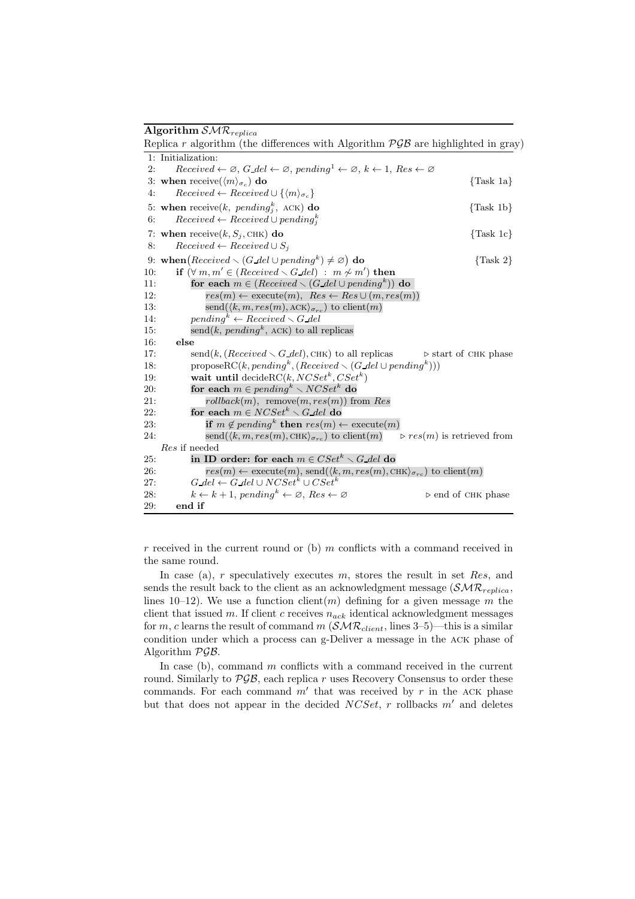Algorithm  $\mathcal{SMR}_{replied}$ Replica r algorithm (the differences with Algorithm  $\mathcal{PGB}$  are highlighted in gray) 1: Initialization: 2: Received  $\leftarrow \emptyset$ , G del  $\leftarrow \emptyset$ , pending<sup>1</sup>  $\leftarrow \emptyset$ ,  $k \leftarrow 1$ , Res  $\leftarrow \emptyset$ 3: when receive $(\langle m \rangle_{\sigma_c})$  do  ${Task 1a}$ 4: Received ← Received  $\cup \{\langle m\rangle_{\sigma_c}\}\$ 5: when receive(k, pending<sup>k</sup>, ACK) **do** {Task 1b} 6: Received ← Received  $\cup$  pending $_j^k$ 7: when  $\text{receive}(k, S_j, \text{CHK})$  do {Task 1c} 8: Received ← Received  $\cup S_j$ 9: when  $(Received \setminus (G\_del \cup pending^k) \neq \varnothing)$  ${Task 2}$ 10: if  $(\forall m, m' \in (Received \setminus G\_del) : m \not\sim m')$  then 11: for each  $m \in (Received \setminus (G \text{ } del \cup pending^k))$  do 12:  $res(m) \leftarrow \text{execute}(m), \ \text{Res} \leftarrow \text{Res} \cup (m, res(m))$ 13:  $\text{send}(\langle k, m, res(m), \text{ACK}\rangle_{\sigma_{rc}})$  to client $(m)$ 14: pending<sup>k</sup> ← Received  $\setminus G$  del 15: send $(k,$  pending<sup>k</sup>, ACK) to all replicas 16: else 17: send(k, (Received  $\setminus G$  del), CHK) to all replicas  $\triangleright$  start of CHK phase 18: proposeRC(k, pending<sup>k</sup>, (Received \ (G del ∪ pending<sup>k</sup>))) 19: wait until decide  $RC(k, NCSet^k, CSet^k)$ 20: for each  $m \in pending^k \setminus NCSet^k$  do 21:  $\text{rollback}(m)$ ,  $\text{remove}(m, \text{res}(m))$  from  $\text{Res}(m)$ 22: for each  $m \in NCSet^k \setminus G$  del do 23: if  $m \notin pending^k$  then  $res(m) \leftarrow execute(m)$ 23: **if**  $m \notin pending^k$  **then**  $res(m) \leftarrow execute(m)$ <br>
24:  $\text{send}(\langle k, m, res(m), \text{CHK}\rangle_{\sigma_{rc}})$  to client $(m) \supset res(m)$  is retrieved from Res if needed 25: in ID order: for each  $m \in CSet^k \setminus G$  del do 26:  $res(m) \leftarrow \text{execute}(m), \text{send}(\langle k, m, res(m), \text{CHR}\rangle_{\sigma_{rc}}) \text{ to client}(m)$ <br>27:  $G\_del \leftarrow G\_del \cup NCSet^k \cup CSet^k$  $G$  del ←  $G$  del ∪  $NCSet^k \cup CSet^k$ 28:  $k \leftarrow k+1$ , pending<sup>k</sup>  $\leftarrow \emptyset$ , Res  $\leftarrow \emptyset$   $\triangleright$  end of CHK phase 29: end if

r received in the current round or (b)  $m$  conflicts with a command received in the same round.

In case (a), r speculatively executes m, stores the result in set Res, and sends the result back to the client as an acknowledgment message  $(SMR_{replica},$ lines 10–12). We use a function client(m) defining for a given message m the client that issued m. If client c receives  $n_{ack}$  identical acknowledgment messages for m, c learns the result of command m  $(SMR_{client},$  lines 3-5)—this is a similar condition under which a process can g-Deliver a message in the ack phase of Algorithm PGB.

In case  $(b)$ , command m conflicts with a command received in the current round. Similarly to  $\mathcal{PGB}$ , each replica r uses Recovery Consensus to order these commands. For each command  $m'$  that was received by r in the ACK phase but that does not appear in the decided  $NCSet$ , r rollbacks m' and deletes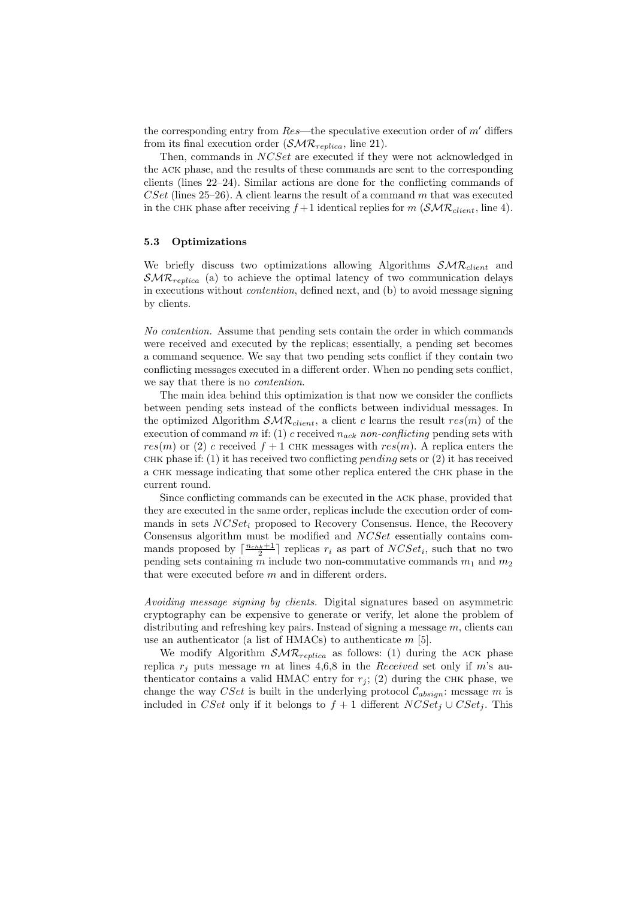the corresponding entry from  $Res$ —the speculative execution order of  $m'$  differs from its final execution order  $(SMR_{replica},$  line 21).

Then, commands in  $NCSet$  are executed if they were not acknowledged in the ack phase, and the results of these commands are sent to the corresponding clients (lines 22–24). Similar actions are done for the conflicting commands of  $CSet$  (lines 25–26). A client learns the result of a command m that was executed in the CHK phase after receiving  $f+1$  identical replies for  $m (\mathcal{SMR}_{client}, \text{line } 4)$ .

#### 5.3 Optimizations

We briefly discuss two optimizations allowing Algorithms  $\mathcal{SMR}_{client}$  and  $\mathcal{SMR}_{remlica}$  (a) to achieve the optimal latency of two communication delays in executions without contention, defined next, and (b) to avoid message signing by clients.

No contention. Assume that pending sets contain the order in which commands were received and executed by the replicas; essentially, a pending set becomes a command sequence. We say that two pending sets conflict if they contain two conflicting messages executed in a different order. When no pending sets conflict, we say that there is no *contention*.

The main idea behind this optimization is that now we consider the conflicts between pending sets instead of the conflicts between individual messages. In the optimized Algorithm  $\mathcal{SMR}_{client}$ , a client c learns the result  $res(m)$  of the execution of command m if: (1) c received  $n_{ack}$  non-conflicting pending sets with res(m) or (2) c received  $f + 1$  CHK messages with  $res(m)$ . A replica enters the CHK phase if: (1) it has received two conflicting *pending* sets or (2) it has received a CHK message indicating that some other replica entered the CHK phase in the current round.

Since conflicting commands can be executed in the ack phase, provided that they are executed in the same order, replicas include the execution order of commands in sets  $NCSet_i$  proposed to Recovery Consensus. Hence, the Recovery Consensus algorithm must be modified and NCSet essentially contains commands proposed by  $\lceil \frac{n_{chk}+1}{2} \rceil$  replicas  $r_i$  as part of  $NCSet_i$ , such that no two pending sets containing m include two non-commutative commands  $m_1$  and  $m_2$ that were executed before  $m$  and in different orders.

Avoiding message signing by clients. Digital signatures based on asymmetric cryptography can be expensive to generate or verify, let alone the problem of distributing and refreshing key pairs. Instead of signing a message  $m$ , clients can use an authenticator (a list of HMACs) to authenticate  $m$  [5].

We modify Algorithm  $\mathcal{SMR}_{replica}$  as follows: (1) during the ACK phase replica  $r_i$  puts message m at lines 4,6,8 in the Received set only if m's authenticator contains a valid HMAC entry for  $r_j$ ; (2) during the CHK phase, we change the way CSet is built in the underlying protocol  $\mathcal{C}_{absian}$ : message m is included in CSet only if it belongs to  $f + 1$  different  $NCSet_j \cup CSet_j$ . This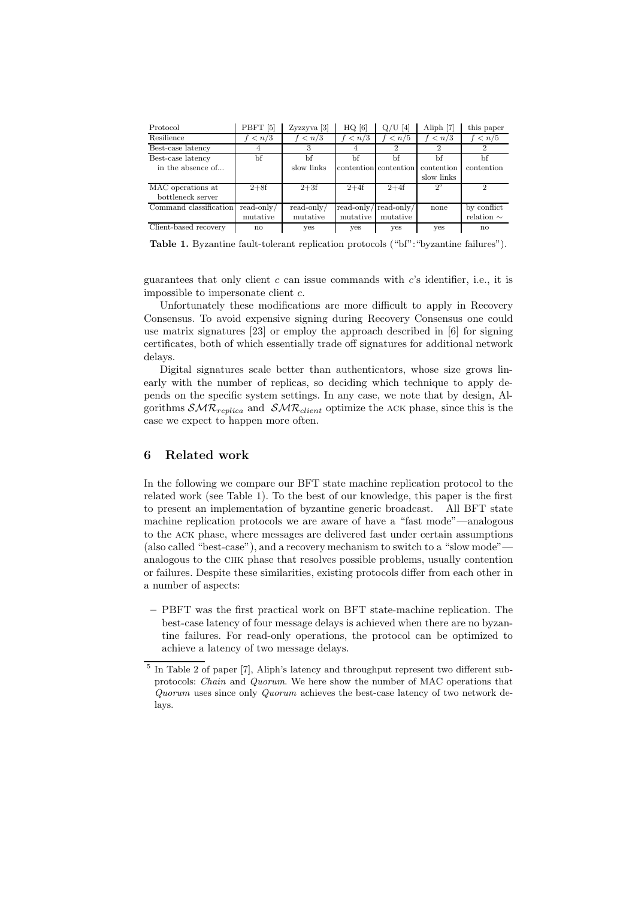| Protocol               | PBFT [5]               | $Zyzzyva$ [3] | $HQ$ [6] | 4 <br>O.<br>/ U       | Aliph <sup>[7]</sup> | this paper      |
|------------------------|------------------------|---------------|----------|-----------------------|----------------------|-----------------|
| Resilience             | $\langle n/3$          | $\langle n/3$ | f < n/3  | $\langle n/5$         | $\langle n/3$        | $\langle n/5$   |
| Best-case latency      |                        |               |          | 2                     | 2                    | $\mathfrak{D}$  |
| Best-case latency      | bf                     | bf            | bf       | bf                    | bf                   | bf              |
| in the absence of      |                        | slow links    |          | contention contention | contention           | contention      |
|                        |                        |               |          |                       | slow links           |                 |
| MAC operations at      | $2+8f$                 | $2+3f$        | $2+4f$   | $2+4f$                | 22                   | $\mathcal{D}$   |
| bottleneck server      |                        |               |          |                       |                      |                 |
| Command classification | $read-only/$           | $read-only/$  |          | read-only/read-only/  | none                 | by conflict     |
|                        | mutative               | mutative      | mutative | mutative              |                      | relation $\sim$ |
| Client-based recovery  | $\mathbf{n}\mathbf{o}$ | <b>ves</b>    | yes      | yes                   | yes                  | $\mathbf{n}$    |

Table 1. Byzantine fault-tolerant replication protocols ("bf":"byzantine failures").

guarantees that only client  $c$  can issue commands with  $c$ 's identifier, i.e., it is impossible to impersonate client  $c$ .

Unfortunately these modifications are more difficult to apply in Recovery Consensus. To avoid expensive signing during Recovery Consensus one could use matrix signatures [23] or employ the approach described in [6] for signing certificates, both of which essentially trade off signatures for additional network delays.

Digital signatures scale better than authenticators, whose size grows linearly with the number of replicas, so deciding which technique to apply depends on the specific system settings. In any case, we note that by design, Algorithms  $\mathcal{SMR}_{replica}$  and  $\mathcal{SMR}_{client}$  optimize the ACK phase, since this is the case we expect to happen more often.

# 6 Related work

In the following we compare our BFT state machine replication protocol to the related work (see Table 1). To the best of our knowledge, this paper is the first to present an implementation of byzantine generic broadcast. All BFT state machine replication protocols we are aware of have a "fast mode"—analogous to the ack phase, where messages are delivered fast under certain assumptions (also called "best-case"), and a recovery mechanism to switch to a "slow mode" analogous to the chk phase that resolves possible problems, usually contention or failures. Despite these similarities, existing protocols differ from each other in a number of aspects:

– PBFT was the first practical work on BFT state-machine replication. The best-case latency of four message delays is achieved when there are no byzantine failures. For read-only operations, the protocol can be optimized to achieve a latency of two message delays.

<sup>&</sup>lt;sup>5</sup> In Table 2 of paper [7], Aliph's latency and throughput represent two different subprotocols: Chain and Quorum. We here show the number of MAC operations that Quorum uses since only Quorum achieves the best-case latency of two network delays.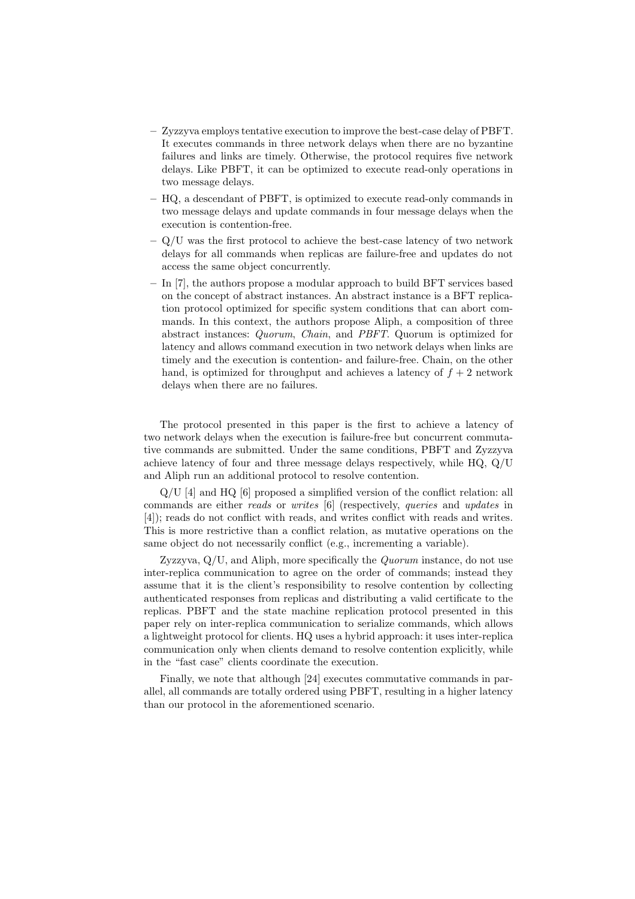- Zyzzyva employs tentative execution to improve the best-case delay of PBFT. It executes commands in three network delays when there are no byzantine failures and links are timely. Otherwise, the protocol requires five network delays. Like PBFT, it can be optimized to execute read-only operations in two message delays.
- HQ, a descendant of PBFT, is optimized to execute read-only commands in two message delays and update commands in four message delays when the execution is contention-free.
- $-$  Q/U was the first protocol to achieve the best-case latency of two network delays for all commands when replicas are failure-free and updates do not access the same object concurrently.
- In [7], the authors propose a modular approach to build BFT services based on the concept of abstract instances. An abstract instance is a BFT replication protocol optimized for specific system conditions that can abort commands. In this context, the authors propose Aliph, a composition of three abstract instances: Quorum, Chain, and PBFT. Quorum is optimized for latency and allows command execution in two network delays when links are timely and the execution is contention- and failure-free. Chain, on the other hand, is optimized for throughput and achieves a latency of  $f + 2$  network delays when there are no failures.

The protocol presented in this paper is the first to achieve a latency of two network delays when the execution is failure-free but concurrent commutative commands are submitted. Under the same conditions, PBFT and Zyzzyva achieve latency of four and three message delays respectively, while HQ, Q/U and Aliph run an additional protocol to resolve contention.

Q/U [4] and HQ [6] proposed a simplified version of the conflict relation: all commands are either reads or writes [6] (respectively, queries and updates in [4]); reads do not conflict with reads, and writes conflict with reads and writes. This is more restrictive than a conflict relation, as mutative operations on the same object do not necessarily conflict (e.g., incrementing a variable).

Zyzzyva,  $Q/U$ , and Aliph, more specifically the *Quorum* instance, do not use inter-replica communication to agree on the order of commands; instead they assume that it is the client's responsibility to resolve contention by collecting authenticated responses from replicas and distributing a valid certificate to the replicas. PBFT and the state machine replication protocol presented in this paper rely on inter-replica communication to serialize commands, which allows a lightweight protocol for clients. HQ uses a hybrid approach: it uses inter-replica communication only when clients demand to resolve contention explicitly, while in the "fast case" clients coordinate the execution.

Finally, we note that although [24] executes commutative commands in parallel, all commands are totally ordered using PBFT, resulting in a higher latency than our protocol in the aforementioned scenario.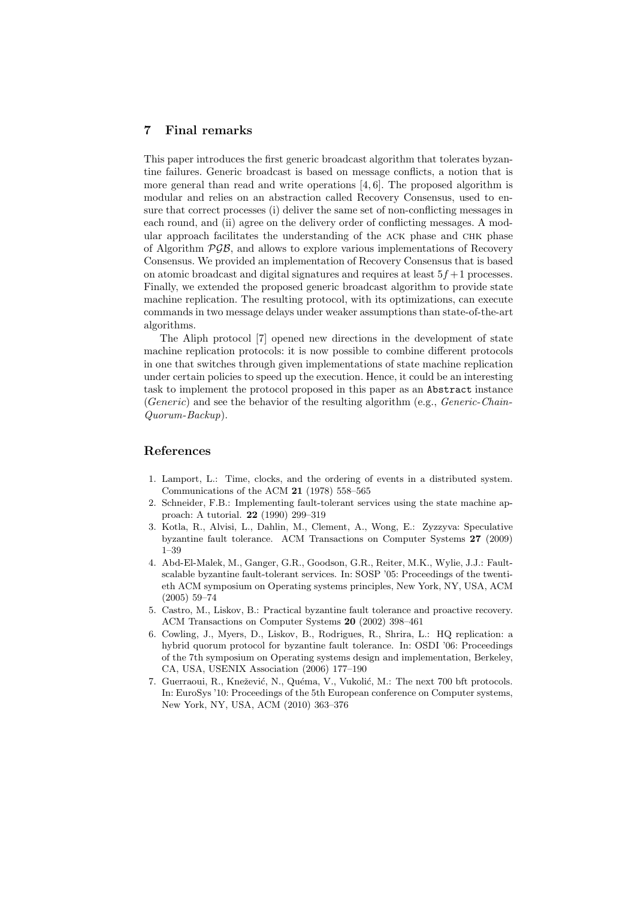# 7 Final remarks

This paper introduces the first generic broadcast algorithm that tolerates byzantine failures. Generic broadcast is based on message conflicts, a notion that is more general than read and write operations [4, 6]. The proposed algorithm is modular and relies on an abstraction called Recovery Consensus, used to ensure that correct processes (i) deliver the same set of non-conflicting messages in each round, and (ii) agree on the delivery order of conflicting messages. A modular approach facilitates the understanding of the ack phase and chk phase of Algorithm  $\mathcal{PGB}$ , and allows to explore various implementations of Recovery Consensus. We provided an implementation of Recovery Consensus that is based on atomic broadcast and digital signatures and requires at least  $5f + 1$  processes. Finally, we extended the proposed generic broadcast algorithm to provide state machine replication. The resulting protocol, with its optimizations, can execute commands in two message delays under weaker assumptions than state-of-the-art algorithms.

The Aliph protocol [7] opened new directions in the development of state machine replication protocols: it is now possible to combine different protocols in one that switches through given implementations of state machine replication under certain policies to speed up the execution. Hence, it could be an interesting task to implement the protocol proposed in this paper as an Abstract instance (Generic) and see the behavior of the resulting algorithm (e.g., Generic-Chain-Quorum-Backup).

## References

- 1. Lamport, L.: Time, clocks, and the ordering of events in a distributed system. Communications of the ACM 21 (1978) 558–565
- 2. Schneider, F.B.: Implementing fault-tolerant services using the state machine approach: A tutorial. 22 (1990) 299–319
- 3. Kotla, R., Alvisi, L., Dahlin, M., Clement, A., Wong, E.: Zyzzyva: Speculative byzantine fault tolerance. ACM Transactions on Computer Systems 27 (2009) 1–39
- 4. Abd-El-Malek, M., Ganger, G.R., Goodson, G.R., Reiter, M.K., Wylie, J.J.: Faultscalable byzantine fault-tolerant services. In: SOSP '05: Proceedings of the twentieth ACM symposium on Operating systems principles, New York, NY, USA, ACM (2005) 59–74
- 5. Castro, M., Liskov, B.: Practical byzantine fault tolerance and proactive recovery. ACM Transactions on Computer Systems 20 (2002) 398–461
- 6. Cowling, J., Myers, D., Liskov, B., Rodrigues, R., Shrira, L.: HQ replication: a hybrid quorum protocol for byzantine fault tolerance. In: OSDI '06: Proceedings of the 7th symposium on Operating systems design and implementation, Berkeley, CA, USA, USENIX Association (2006) 177–190
- 7. Guerraoui, R., Knežević, N., Quéma, V., Vukolić, M.: The next 700 bft protocols. In: EuroSys '10: Proceedings of the 5th European conference on Computer systems, New York, NY, USA, ACM (2010) 363–376